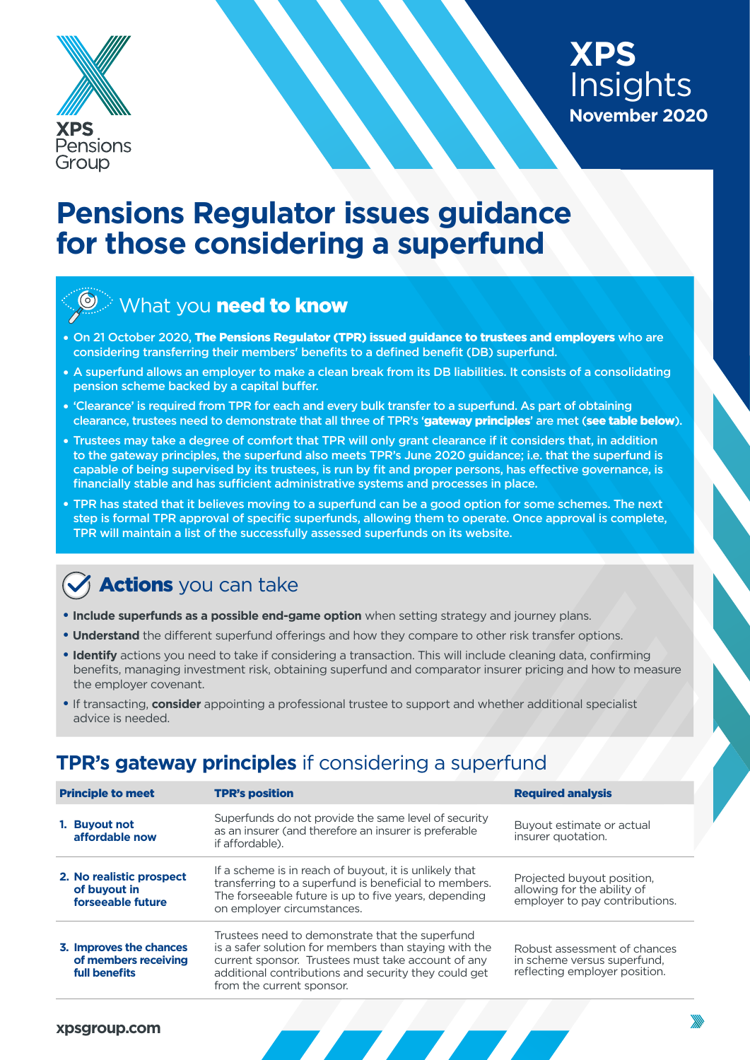



## **Pensions Regulator issues guidance for those considering a superfund**

### What you need to know

- **•** On 21 October 2020, The Pensions Regulator (TPR) issued guidance to trustees and employers who are considering transferring their members' benefits to a defined benefit (DB) superfund.
- A superfund allows an employer to make a clean break from its DB liabilities. It consists of a consolidating pension scheme backed by a capital buffer.
- **•** 'Clearance' is required from TPR for each and every bulk transfer to a superfund. As part of obtaining clearance, trustees need to demonstrate that all three of TPR's 'gateway principles' are met (see table below).
- **•** Trustees may take a degree of comfort that TPR will only grant clearance if it considers that, in addition to the gateway principles, the superfund also meets TPR's June 2020 guidance; i.e. that the superfund is capable of being supervised by its trustees, is run by fit and proper persons, has effective governance, is financially stable and has sufficient administrative systems and processes in place.
- **•** TPR has stated that it believes moving to a superfund can be a good option for some schemes. The next step is formal TPR approval of specific superfunds, allowing them to operate. Once approval is complete, TPR will maintain a list of the successfully assessed superfunds on its website.

### **Actions** you can take

- **Include superfunds as a possible end-game option** when setting strategy and journey plans.
- **Understand** the different superfund offerings and how they compare to other risk transfer options.
- **Identify** actions you need to take if considering a transaction. This will include cleaning data, confirming benefits, managing investment risk, obtaining superfund and comparator insurer pricing and how to measure the employer covenant.
- If transacting, **consider** appointing a professional trustee to support and whether additional specialist advice is needed.

#### **TPR's gateway principles** if considering a superfund

| <b>Principle to meet</b>                                         | <b>TPR's position</b>                                                                                                                                                                                                                               | <b>Required analysis</b>                                                                     |
|------------------------------------------------------------------|-----------------------------------------------------------------------------------------------------------------------------------------------------------------------------------------------------------------------------------------------------|----------------------------------------------------------------------------------------------|
| 1. Buyout not<br>affordable now                                  | Superfunds do not provide the same level of security<br>as an insurer (and therefore an insurer is preferable<br>if affordable).                                                                                                                    | Buyout estimate or actual<br>insurer quotation.                                              |
| 2. No realistic prospect<br>of buyout in<br>forseeable future    | If a scheme is in reach of buyout, it is unlikely that<br>transferring to a superfund is beneficial to members.<br>The forseeable future is up to five years, depending<br>on employer circumstances.                                               | Projected buyout position,<br>allowing for the ability of<br>employer to pay contributions.  |
| 3. Improves the chances<br>of members receiving<br>full benefits | Trustees need to demonstrate that the superfund<br>is a safer solution for members than staying with the<br>current sponsor. Trustees must take account of any<br>additional contributions and security they could get<br>from the current sponsor. | Robust assessment of chances<br>in scheme versus superfund,<br>reflecting employer position. |
|                                                                  |                                                                                                                                                                                                                                                     |                                                                                              |